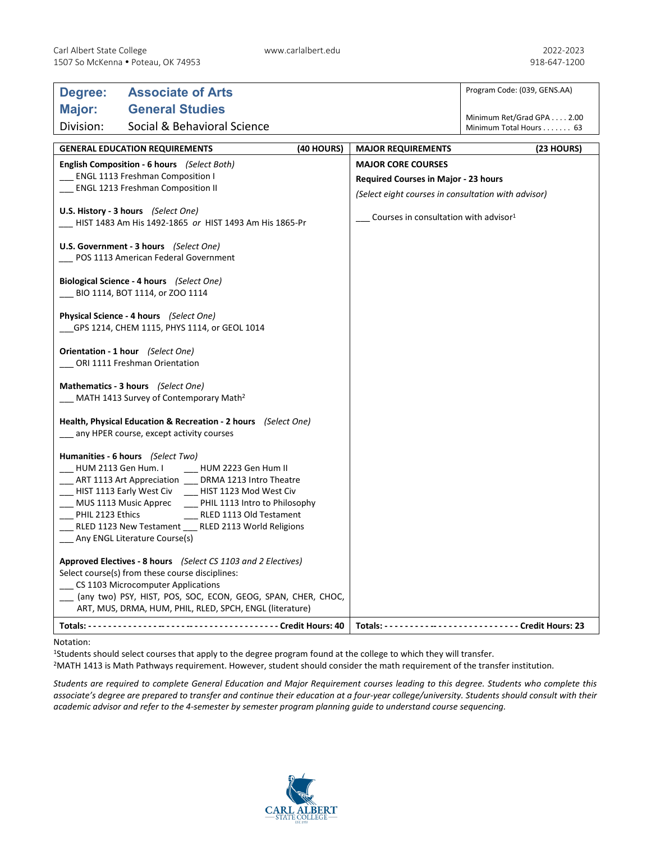| Degree:                                                                                                      | <b>Associate of Arts</b>                                                                                                                                                                                                                                                                                                                                                                                      |                                                     |                                                   | Program Code: (039, GENS.AA)                        |
|--------------------------------------------------------------------------------------------------------------|---------------------------------------------------------------------------------------------------------------------------------------------------------------------------------------------------------------------------------------------------------------------------------------------------------------------------------------------------------------------------------------------------------------|-----------------------------------------------------|---------------------------------------------------|-----------------------------------------------------|
| Major:                                                                                                       | <b>General Studies</b>                                                                                                                                                                                                                                                                                                                                                                                        |                                                     |                                                   |                                                     |
| Division:                                                                                                    | Social & Behavioral Science                                                                                                                                                                                                                                                                                                                                                                                   |                                                     |                                                   | Minimum Ret/Grad GPA 2.00<br>Minimum Total Hours 63 |
|                                                                                                              | <b>GENERAL EDUCATION REQUIREMENTS</b>                                                                                                                                                                                                                                                                                                                                                                         | (40 HOURS)                                          | <b>MAJOR REQUIREMENTS</b>                         | (23 HOURS)                                          |
| English Composition - 6 hours (Select Both)                                                                  |                                                                                                                                                                                                                                                                                                                                                                                                               | <b>MAJOR CORE COURSES</b>                           |                                                   |                                                     |
| <b>ENGL 1113 Freshman Composition I</b>                                                                      |                                                                                                                                                                                                                                                                                                                                                                                                               |                                                     | <b>Required Courses in Major - 23 hours</b>       |                                                     |
| <b>ENGL 1213 Freshman Composition II</b>                                                                     |                                                                                                                                                                                                                                                                                                                                                                                                               | (Select eight courses in consultation with advisor) |                                                   |                                                     |
| U.S. History - 3 hours (Select One)<br>HIST 1483 Am His 1492-1865 or HIST 1493 Am His 1865-Pr                |                                                                                                                                                                                                                                                                                                                                                                                                               |                                                     | Courses in consultation with advisor <sup>1</sup> |                                                     |
| U.S. Government - 3 hours (Select One)<br>POS 1113 American Federal Government                               |                                                                                                                                                                                                                                                                                                                                                                                                               |                                                     |                                                   |                                                     |
| Biological Science - 4 hours (Select One)<br>BIO 1114, BOT 1114, or ZOO 1114                                 |                                                                                                                                                                                                                                                                                                                                                                                                               |                                                     |                                                   |                                                     |
| Physical Science - 4 hours (Select One)<br>GPS 1214, CHEM 1115, PHYS 1114, or GEOL 1014                      |                                                                                                                                                                                                                                                                                                                                                                                                               |                                                     |                                                   |                                                     |
| Orientation - 1 hour (Select One)<br>_ ORI 1111 Freshman Orientation                                         |                                                                                                                                                                                                                                                                                                                                                                                                               |                                                     |                                                   |                                                     |
| Mathematics - 3 hours (Select One)<br>$\mu$ MATH 1413 Survey of Contemporary Math <sup>2</sup>               |                                                                                                                                                                                                                                                                                                                                                                                                               |                                                     |                                                   |                                                     |
| Health, Physical Education & Recreation - 2 hours (Select One)<br>_ any HPER course, except activity courses |                                                                                                                                                                                                                                                                                                                                                                                                               |                                                     |                                                   |                                                     |
| HUM 2113 Gen Hum. I<br>_ MUS 1113 Music Apprec<br>PHIL 2123 Ethics                                           | Humanities - 6 hours (Select Two)<br>HUM 2223 Gen Hum II<br>___ ART 1113 Art Appreciation ___ DRMA 1213 Intro Theatre<br>____ HIST 1113 Early West Civ _____ HIST 1123 Mod West Civ<br>PHIL 1113 Intro to Philosophy<br>RLED 1113 Old Testament<br>RLED 1123 New Testament __ RLED 2113 World Religions<br>___ Any ENGL Literature Course(s)<br>Approved Electives - 8 hours (Select CS 1103 and 2 Electives) |                                                     |                                                   |                                                     |
|                                                                                                              | Select course(s) from these course disciplines:<br>CS 1103 Microcomputer Applications<br>(any two) PSY, HIST, POS, SOC, ECON, GEOG, SPAN, CHER, CHOC,<br>ART, MUS, DRMA, HUM, PHIL, RLED, SPCH, ENGL (literature)                                                                                                                                                                                             |                                                     |                                                   |                                                     |
|                                                                                                              |                                                                                                                                                                                                                                                                                                                                                                                                               |                                                     |                                                   |                                                     |
|                                                                                                              |                                                                                                                                                                                                                                                                                                                                                                                                               |                                                     |                                                   |                                                     |

## Notation:

<sup>1</sup>Students should select courses that apply to the degree program found at the college to which they will transfer.

2MATH 1413 is Math Pathways requirement. However, student should consider the math requirement of the transfer institution.

*Students are required to complete General Education and Major Requirement courses leading to this degree. Students who complete this associate's degree are prepared to transfer and continue their education at a four-year college/university. Students should consult with their academic advisor and refer to the 4-semester by semester program planning guide to understand course sequencing.*